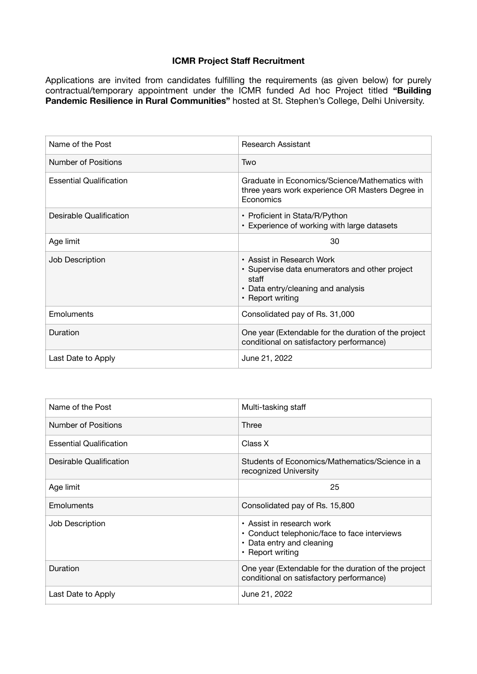## **ICMR Project Staff Recruitment**

Applications are invited from candidates fulfilling the requirements (as given below) for purely contractual/temporary appointment under the ICMR funded Ad hoc Project titled **"Building Pandemic Resilience in Rural Communities"** hosted at St. Stephen's College, Delhi University.

| Name of the Post               | <b>Research Assistant</b>                                                                                                                      |
|--------------------------------|------------------------------------------------------------------------------------------------------------------------------------------------|
| Number of Positions            | Two                                                                                                                                            |
| <b>Essential Qualification</b> | Graduate in Economics/Science/Mathematics with<br>three years work experience OR Masters Degree in<br>Economics                                |
| Desirable Qualification        | • Proficient in Stata/R/Python<br>• Experience of working with large datasets                                                                  |
| Age limit                      | 30                                                                                                                                             |
| Job Description                | • Assist in Research Work<br>· Supervise data enumerators and other project<br>staff<br>• Data entry/cleaning and analysis<br>• Report writing |
| Emoluments                     | Consolidated pay of Rs. 31,000                                                                                                                 |
| Duration                       | One year (Extendable for the duration of the project<br>conditional on satisfactory performance)                                               |
| Last Date to Apply             | June 21, 2022                                                                                                                                  |

| Name of the Post               | Multi-tasking staff                                                                                                        |
|--------------------------------|----------------------------------------------------------------------------------------------------------------------------|
| Number of Positions            | Three                                                                                                                      |
| <b>Essential Qualification</b> | Class X                                                                                                                    |
| Desirable Qualification        | Students of Economics/Mathematics/Science in a<br>recognized University                                                    |
| Age limit                      | 25                                                                                                                         |
| <b>Emoluments</b>              | Consolidated pay of Rs. 15,800                                                                                             |
| Job Description                | • Assist in research work<br>• Conduct telephonic/face to face interviews<br>• Data entry and cleaning<br>• Report writing |
| Duration                       | One year (Extendable for the duration of the project<br>conditional on satisfactory performance)                           |
| Last Date to Apply             | June 21, 2022                                                                                                              |